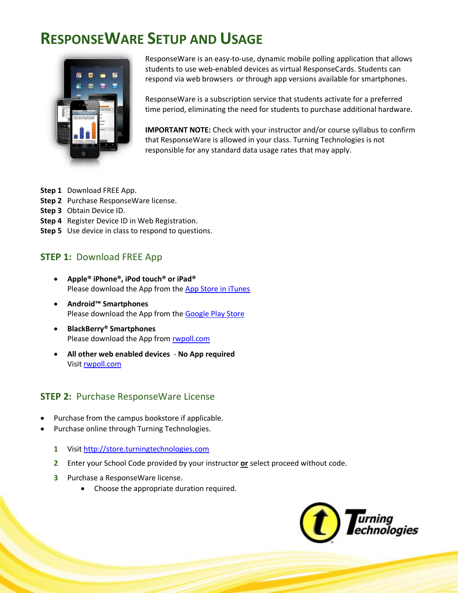

ResponseWare is an easy-to-use, dynamic mobile polling application that allows students to use web-enabled devices as virtual ResponseCards. Students can respond via web browsers or through app versions available for smartphones.

ResponseWare is a subscription service that students activate for a preferred time period, eliminating the need for students to purchase additional hardware.

**IMPORTANT NOTE:** Check with your instructor and/or course syllabus to confirm that ResponseWare is allowed in your class. Turning Technologies is not responsible for any standard data usage rates that may apply.

- **Step 1** Download FREE App.
- **Step 2** Purchase ResponseWare license.
- **Step 3** Obtain Device ID.
- **Step 4** Register Device ID in Web Registration.
- **Step 5** Use device in class to respond to questions.

### **STEP 1:** Download FREE App

- **Apple® iPhone®, iPod touch® or iPad®** Please download the App from the [App Store in iTunes](https://itunes.apple.com/app/responseware/id300028504?mt=8)
- **Android™ Smartphones** Please download the App from the [Google Play Store](https://play.google.com/store/apps/details?id=com.turningTech.Responseware&feature=search_result#?t=W251bGwsMSwyLDEsImNvbS50dXJuaW5nVGVjaC5SZXNwb25zZXdhcmUiXQ..)
- **BlackBerry® Smartphones** Please download the App from [rwpoll.com](http://www.rwpoll.com/download.aspx)
- **All other web enabled devices No App required** Visit [rwpoll.com](http://www.rwpoll.com/)

### **STEP 2:** Purchase ResponseWare License

- Purchase from the campus bookstore if applicable.
- Purchase online through Turning Technologies.
	- **1** Visit [http://store.turningtechnologies.com](http://store.turningtechnologies.com/)
	- **2** Enter your School Code provided by your instructor **or** select proceed without code.
	- **3** Purchase a ResponseWare license.
		- Choose the appropriate duration required.

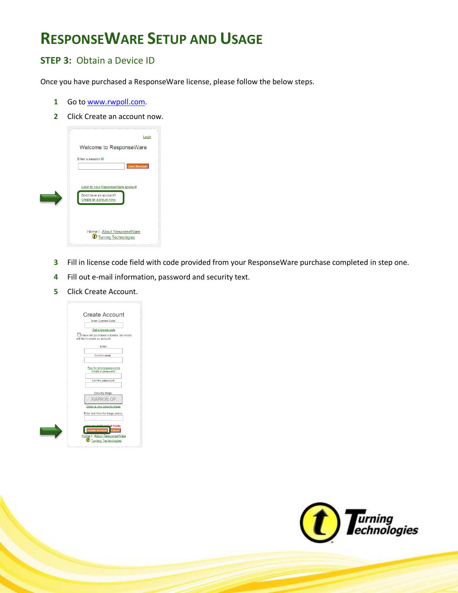### **STEP 3:** Obtain a Device ID

Once you have purchased a ResponseWare license, please follow the below steps.

- Go to [www.rwpoll.com.](http://www.rwpoll.com/)
- Click Create an account now.



- Fill in license code field with code provided from your ResponseWare purchase completed in step one.
- Fill out e-mail information, password and security text.
- Click Create Account.

| <b>Create Account</b>                                                                                                     |
|---------------------------------------------------------------------------------------------------------------------------|
| Enter License Code :                                                                                                      |
| Get a license code                                                                                                        |
| I have not purchased a license, but would<br>still like to create an account.                                             |
| Email:                                                                                                                    |
| Confirm email:                                                                                                            |
| Tips for strong passwords<br>Create a password:                                                                           |
| Confirm password:                                                                                                         |
| Security image:                                                                                                           |
| GRK8LO.                                                                                                                   |
| Obtain a new security image                                                                                               |
| Enter text from the image above:                                                                                          |
| fields ill fields<br><b>Create Account</b><br>Cancel<br>Home   About ResponseWare<br><b><i>U</i></b> Turning Technologies |
|                                                                                                                           |

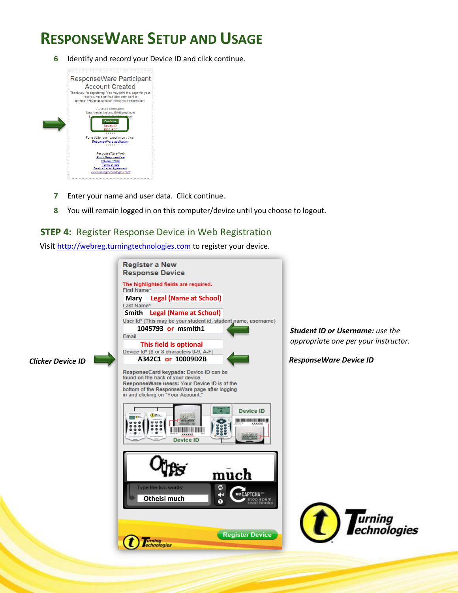**6** Identify and record your Device ID and click continue.



- **7** Enter your name and user data. Click continue.
- **8** You will remain logged in on this computer/device until you choose to logout.

### **STEP 4:** Register Response Device in Web Registration

Visit [http://webreg.turningtechnologies.com](http://webreg.turningtechnologies.com/) to register your device.